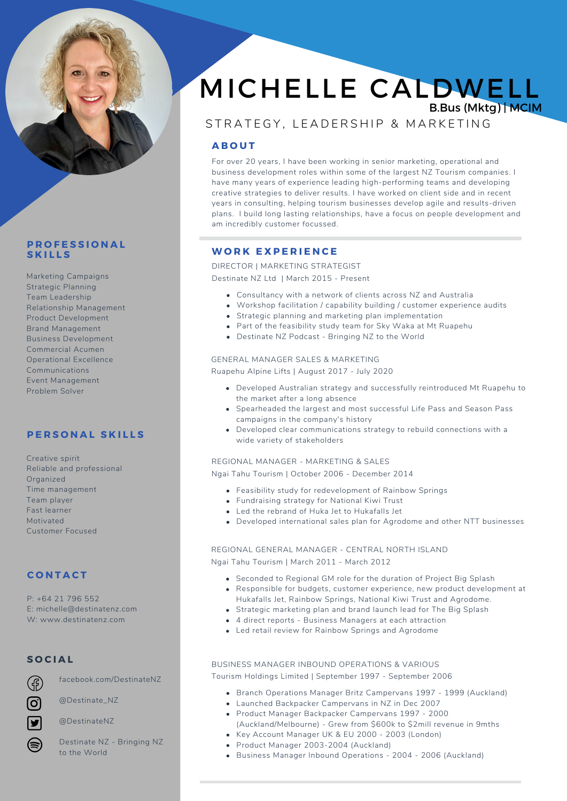

# **P R O F E S S I O N A L S K I L L S**

Marketing Campaigns Strategic Planning Team Leadership Relationship Management Product Development Brand Management Business Development Commercial Acumen Operational Excellence Communications Event Management Problem Solver

# **P E R S O N A L S K I L L S**

Creative spirit Reliable and professional **Organized** Time management Team player Fast learner Motivated Customer Focused

# **C O N T A C T**

P: +64 21 796 552 E: michelle@destinatenz.com W: www.destinatenz.com

# **S O C I A L**

facebook.com/DestinateNZ

@Destinate\_NZ



@DestinateNZ

Destinate NZ - Bringing NZ to the World

# MICHELLE CALDWELL B.Bus (Mktg) | MCIM

# STRATEGY, LEADERSHIP & MARKETING

# **A B O U T**

For over 20 years, I have been working in senior marketing, operational and business development roles within some of the largest NZ Tourism companies. I have many years of experience leading high-performing teams and developing creative strategies to deliver results. I have worked on client side and in recent years in consulting, helping tourism businesses develop agile and results-driven plans. I build long lasting relationships, have a focus on people development and am incredibly customer focussed.

# **W O R K E X P E R I E N C E**

DIRECTOR | MARKETING STRATEGIST

Destinate NZ Ltd | March 2015 - Present

- Consultancy with a network of clients across NZ and Australia
- Workshop facilitation / capability building / customer experience audits
- Strategic planning and marketing plan implementation
- Part of the feasibility study team for Sky Waka at Mt Ruapehu
- Destinate NZ Podcast Bringing NZ to the World

#### GENERAL MANAGER SALES & MARKETING

Ruapehu Alpine Lifts | August 2017 - July 2020

- Developed Australian strategy and successfully reintroduced Mt Ruapehu to the market after a long absence
- **Spearheaded the largest and most successful Life Pass and Season Pass** campaigns in the company's history
- Developed clear communications strategy to rebuild connections with a wide variety of stakeholders

#### REGIONAL MANAGER - MARKETING & SALES

Ngai Tahu Tourism | October 2006 - December 2014

- Feasibility study for redevelopment of Rainbow Springs
- Fundraising strategy for National Kiwi Trust
- Led the rebrand of Huka Jet to Hukafalls Jet
- Developed international sales plan for Agrodome and other NTT businesses

REGIONAL GENERAL MANAGER - CENTRAL NORTH ISLAND Ngai Tahu Tourism | March 2011 - March 2012

- Seconded to Regional GM role for the duration of Project Big Splash
- Responsible for budgets, customer experience, new product development at Hukafalls Jet, Rainbow Springs, National Kiwi Trust and Agrodome.
- Strategic marketing plan and brand launch lead for The Big Splash
- 4 direct reports Business Managers at each attraction
- Led retail review for Rainbow Springs and Agrodome

# BUSINESS MANAGER INBOUND OPERATIONS & VARIOUS

Tourism Holdings Limited | September 1997 - September 2006

- Branch Operations Manager Britz Campervans 1997 1999 (Auckland)
- Launched Backpacker Campervans in NZ in Dec 2007
- Product Manager Backpacker Campervans 1997 2000 (Auckland/Melbourne) - Grew from \$600k to \$2mill revenue in 9mths
- Key Account Manager UK & EU 2000 2003 (London)
- Product Manager 2003-2004 (Auckland)
- Business Manager Inbound Operations 2004 2006 (Auckland)